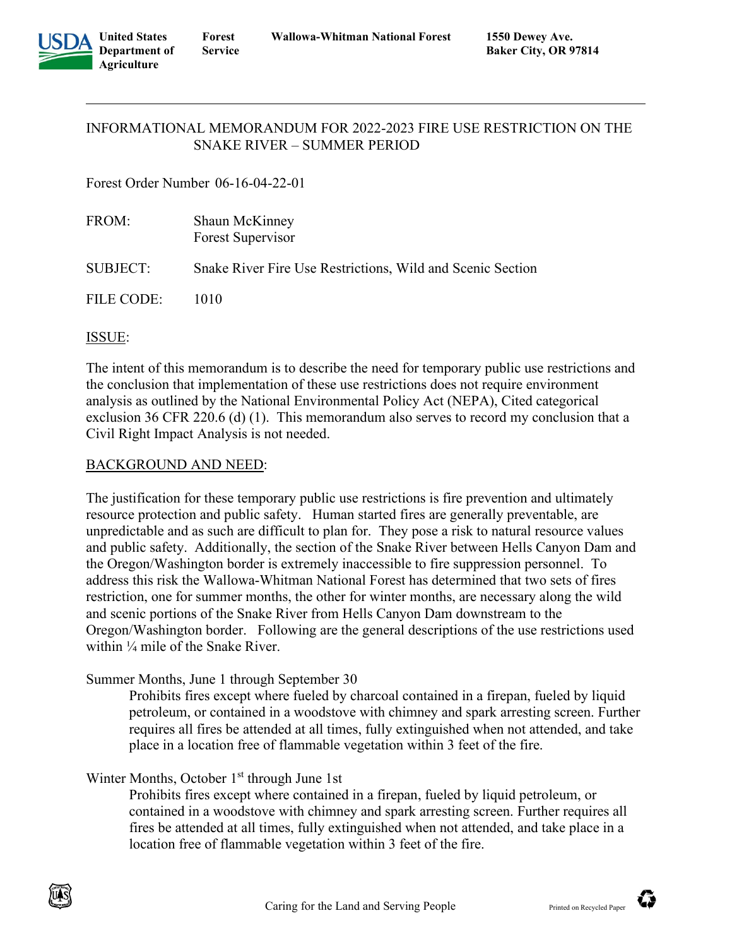

## INFORMATIONAL MEMORANDUM FOR 2022-2023 FIRE USE RESTRICTION ON THE SNAKE RIVER – SUMMER PERIOD

Forest Order Number 06-16-04-22-01

| FROM:             | Shaun McKinney<br>Forest Supervisor                        |
|-------------------|------------------------------------------------------------|
| SUBJECT:          | Snake River Fire Use Restrictions, Wild and Scenic Section |
| <b>FILE CODE:</b> | 1010                                                       |

# ISSUE:

The intent of this memorandum is to describe the need for temporary public use restrictions and the conclusion that implementation of these use restrictions does not require environment analysis as outlined by the National Environmental Policy Act (NEPA), Cited categorical exclusion 36 CFR 220.6 (d) (1). This memorandum also serves to record my conclusion that a Civil Right Impact Analysis is not needed.

## BACKGROUND AND NEED:

The justification for these temporary public use restrictions is fire prevention and ultimately resource protection and public safety. Human started fires are generally preventable, are unpredictable and as such are difficult to plan for. They pose a risk to natural resource values and public safety. Additionally, the section of the Snake River between Hells Canyon Dam and the Oregon/Washington border is extremely inaccessible to fire suppression personnel. To address this risk the Wallowa-Whitman National Forest has determined that two sets of fires restriction, one for summer months, the other for winter months, are necessary along the wild and scenic portions of the Snake River from Hells Canyon Dam downstream to the Oregon/Washington border. Following are the general descriptions of the use restrictions used within ¼ mile of the Snake River.

# Summer Months, June 1 through September 30

Prohibits fires except where fueled by charcoal contained in a firepan, fueled by liquid petroleum, or contained in a woodstove with chimney and spark arresting screen. Further requires all fires be attended at all times, fully extinguished when not attended, and take place in a location free of flammable vegetation within 3 feet of the fire.

# Winter Months, October 1<sup>st</sup> through June 1st

Prohibits fires except where contained in a firepan, fueled by liquid petroleum, or contained in a woodstove with chimney and spark arresting screen. Further requires all fires be attended at all times, fully extinguished when not attended, and take place in a location free of flammable vegetation within 3 feet of the fire.



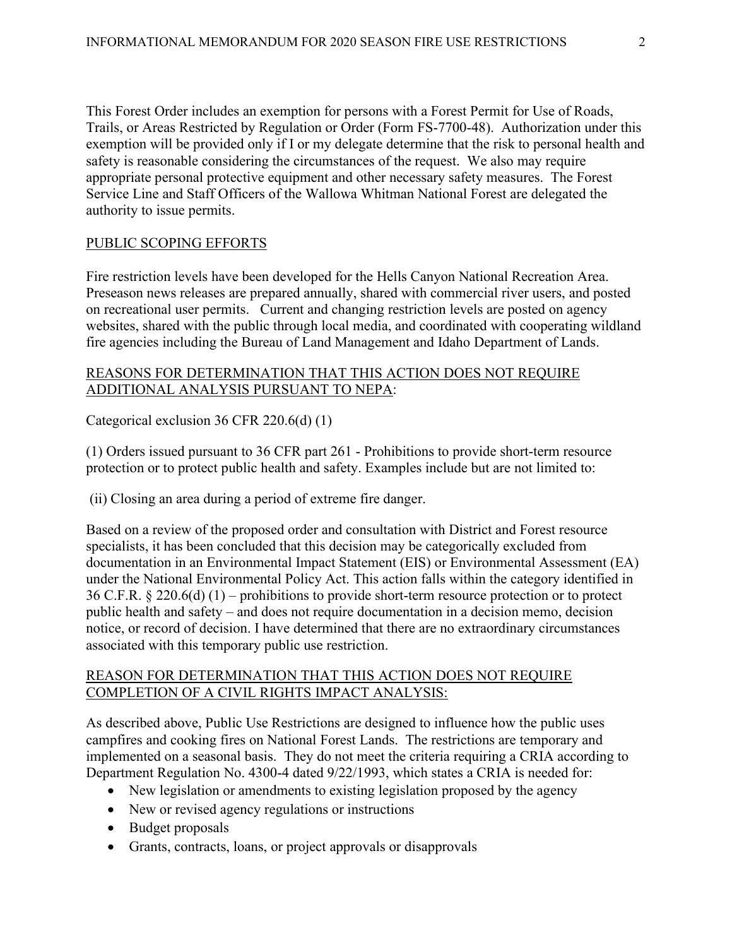This Forest Order includes an exemption for persons with a Forest Permit for Use of Roads, Trails, or Areas Restricted by Regulation or Order (Form FS-7700-48). Authorization under this exemption will be provided only if I or my delegate determine that the risk to personal health and safety is reasonable considering the circumstances of the request. We also may require appropriate personal protective equipment and other necessary safety measures. The Forest Service Line and Staff Officers of the Wallowa Whitman National Forest are delegated the authority to issue permits.

### PUBLIC SCOPING EFFORTS

Fire restriction levels have been developed for the Hells Canyon National Recreation Area. Preseason news releases are prepared annually, shared with commercial river users, and posted on recreational user permits. Current and changing restriction levels are posted on agency websites, shared with the public through local media, and coordinated with cooperating wildland fire agencies including the Bureau of Land Management and Idaho Department of Lands.

## REASONS FOR DETERMINATION THAT THIS ACTION DOES NOT REQUIRE ADDITIONAL ANALYSIS PURSUANT TO NEPA:

Categorical exclusion 36 CFR 220.6(d) (1)

(1) Orders issued pursuant to 36 CFR part 261 - Prohibitions to provide short-term resource protection or to protect public health and safety. Examples include but are not limited to:

(ii) Closing an area during a period of extreme fire danger.

Based on a review of the proposed order and consultation with District and Forest resource specialists, it has been concluded that this decision may be categorically excluded from documentation in an Environmental Impact Statement (EIS) or Environmental Assessment (EA) under the National Environmental Policy Act. This action falls within the category identified in 36 C.F.R. § 220.6(d) (1) – prohibitions to provide short-term resource protection or to protect public health and safety – and does not require documentation in a decision memo, decision notice, or record of decision. I have determined that there are no extraordinary circumstances associated with this temporary public use restriction.

#### REASON FOR DETERMINATION THAT THIS ACTION DOES NOT REQUIRE COMPLETION OF A CIVIL RIGHTS IMPACT ANALYSIS:

As described above, Public Use Restrictions are designed to influence how the public uses campfires and cooking fires on National Forest Lands. The restrictions are temporary and implemented on a seasonal basis. They do not meet the criteria requiring a CRIA according to Department Regulation No. 4300-4 dated 9/22/1993, which states a CRIA is needed for:

- New legislation or amendments to existing legislation proposed by the agency
- New or revised agency regulations or instructions
- Budget proposals
- Grants, contracts, loans, or project approvals or disapprovals